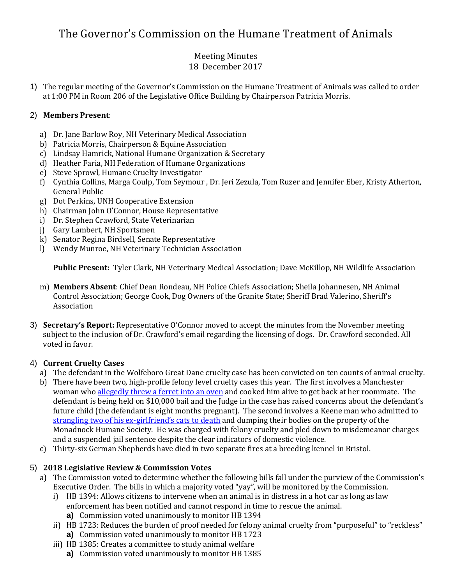# The Governor's Commission on the Humane Treatment of Animals

#### Meeting Minutes 18 December 2017

1) The regular meeting of the Governor's Commission on the Humane Treatment of Animals was called to order at 1:00 PM in Room 206 of the Legislative Office Building by Chairperson Patricia Morris.

## 2) **Members Present**:

- a) Dr. Jane Barlow Roy, NH Veterinary Medical Association
- b) Patricia Morris, Chairperson & Equine Association
- c) Lindsay Hamrick, National Humane Organization & Secretary
- d) Heather Faria, NH Federation of Humane Organizations
- e) Steve Sprowl, Humane Cruelty Investigator
- f) Cynthia Collins, Marga Coulp, Tom Seymour , Dr. Jeri Zezula, Tom Ruzer and Jennifer Eber, Kristy Atherton, General Public
- g) Dot Perkins, UNH Cooperative Extension
- h) Chairman John O'Connor, House Representative
- i) Dr. Stephen Crawford, State Veterinarian
- j) Gary Lambert, NH Sportsmen
- k) Senator Regina Birdsell, Senate Representative
- l) Wendy Munroe, NH Veterinary Technician Association

**Public Present:** Tyler Clark, NH Veterinary Medical Association; Dave McKillop, NH Wildlife Association

- m) **Members Absent**: Chief Dean Rondeau, NH Police Chiefs Association; Sheila Johannesen, NH Animal Control Association; George Cook, Dog Owners of the Granite State; Sheriff Brad Valerino, Sheriff's Association
- 3) **Secretary's Report:** Representative O'Connor moved to accept the minutes from the November meeting subject to the inclusion of Dr. Crawford's email regarding the licensing of dogs. Dr. Crawford seconded. All voted in favor.

#### 4) **Current Cruelty Cases**

- a) The defendant in the Wolfeboro Great Dane cruelty case has been convicted on ten counts of animal cruelty.
- b) There have been two, high-profile felony level cruelty cases this year. The first involves a Manchester woman who [allegedly threw a ferret into an oven](http://www.nh1.com/news/crime/they-shouldn-t-have-a-ferret-because-i-m-pregnant-manchester-woman-defends-pet-murder) and cooked him alive to get back at her roommate. The defendant is being held on \$10,000 bail and the Judge in the case has raised concerns about the defendant's future child (the defendant is eight months pregnant). The second involves a Keene man who admitted to strangling two of his ex-[girlfriend's cats to death](http://www.sentinelsource.com/news/local/keene-man-sentenced-for-strangling-girlfriend-s-cats/article_bdade2aa-d523-580e-ac57-82b531a009b0.html) and dumping their bodies on the property of the Monadnock Humane Society. He was charged with felony cruelty and pled down to misdemeanor charges and a suspended jail sentence despite the clear indicators of domestic violence.
- c) Thirty-six German Shepherds have died in two separate fires at a breeding kennel in Bristol.

#### 5) **2018 Legislative Review & Commission Votes**

- a) The Commission voted to determine whether the following bills fall under the purview of the Commission's Executive Order. The bills in which a majority voted "yay", will be monitored by the Commission.
	- i) HB 1394: Allows citizens to intervene when an animal is in distress in a hot car as long as law enforcement has been notified and cannot respond in time to rescue the animal.
		- **a)** Commission voted unanimously to monitor HB 1394
	- ii) HB 1723: Reduces the burden of proof needed for felony animal cruelty from "purposeful" to "reckless" **a)** Commission voted unanimously to monitor HB 1723
	- iii) HB 1385: Creates a committee to study animal welfare
		- **a)** Commission voted unanimously to monitor HB 1385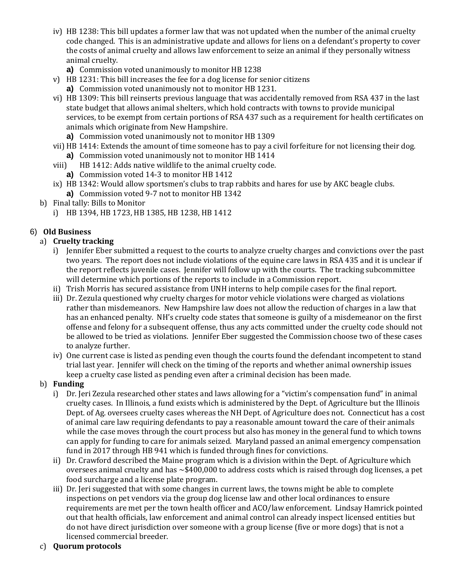- iv) HB 1238: This bill updates a former law that was not updated when the number of the animal cruelty code changed. This is an administrative update and allows for liens on a defendant's property to cover the costs of animal cruelty and allows law enforcement to seize an animal if they personally witness animal cruelty.
	- **a)** Commission voted unanimously to monitor HB 1238
- v) HB 1231: This bill increases the fee for a dog license for senior citizens
	- **a)** Commission voted unanimously not to monitor HB 1231.
- vi) HB 1309: This bill reinserts previous language that was accidentally removed from RSA 437 in the last state budget that allows animal shelters, which hold contracts with towns to provide municipal services, to be exempt from certain portions of RSA 437 such as a requirement for health certificates on animals which originate from New Hampshire.
	- **a)** Commission voted unanimously not to monitor HB 1309
- vii) HB 1414: Extends the amount of time someone has to pay a civil forfeiture for not licensing their dog. **a)** Commission voted unanimously not to monitor HB 1414
- viii) HB 1412: Adds native wildlife to the animal cruelty code.
	- **a)** Commission voted 14-3 to monitor HB 1412
- ix) HB 1342: Would allow sportsmen's clubs to trap rabbits and hares for use by AKC beagle clubs. **a)** Commission voted 9-7 not to monitor HB 1342
- b) Final tally: Bills to Monitor
	- i) HB 1394, HB 1723, HB 1385, HB 1238, HB 1412

## 6) **Old Business**

#### a) **Cruelty tracking**

- i) Jennifer Eber submitted a request to the courts to analyze cruelty charges and convictions over the past two years. The report does not include violations of the equine care laws in RSA 435 and it is unclear if the report reflects juvenile cases. Jennifer will follow up with the courts. The tracking subcommittee will determine which portions of the reports to include in a Commission report.
- ii) Trish Morris has secured assistance from UNH interns to help compile cases for the final report.
- iii) Dr. Zezula questioned why cruelty charges for motor vehicle violations were charged as violations rather than misdemeanors. New Hampshire law does not allow the reduction of charges in a law that has an enhanced penalty. NH's cruelty code states that someone is guilty of a misdemeanor on the first offense and felony for a subsequent offense, thus any acts committed under the cruelty code should not be allowed to be tried as violations. Jennifer Eber suggested the Commission choose two of these cases to analyze further.
- iv) One current case is listed as pending even though the courts found the defendant incompetent to stand trial last year. Jennifer will check on the timing of the reports and whether animal ownership issues keep a cruelty case listed as pending even after a criminal decision has been made.

#### b) **Funding**

- i) Dr. Jeri Zezula researched other states and laws allowing for a "victim's compensation fund" in animal cruelty cases. In Illinois, a fund exists which is administered by the Dept. of Agriculture but the Illinois Dept. of Ag. oversees cruelty cases whereas the NH Dept. of Agriculture does not. Connecticut has a cost of animal care law requiring defendants to pay a reasonable amount toward the care of their animals while the case moves through the court process but also has money in the general fund to which towns can apply for funding to care for animals seized. Maryland passed an animal emergency compensation fund in 2017 through HB 941 which is funded through fines for convictions.
- ii) Dr. Crawford described the Maine program which is a division within the Dept. of Agriculture which oversees animal cruelty and has ~\$400,000 to address costs which is raised through dog licenses, a pet food surcharge and a license plate program.
- iii) Dr. Jeri suggested that with some changes in current laws, the towns might be able to complete inspections on pet vendors via the group dog license law and other local ordinances to ensure requirements are met per the town health officer and ACO/law enforcement. Lindsay Hamrick pointed out that health officials, law enforcement and animal control can already inspect licensed entities but do not have direct jurisdiction over someone with a group license (five or more dogs) that is not a licensed commercial breeder.

#### c) **Quorum protocols**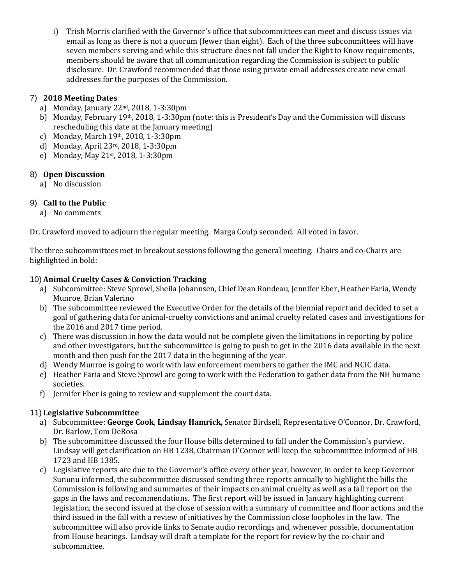i) Trish Morris clarified with the Governor's office that subcommittees can meet and discuss issues via email as long as there is not a quorum (fewer than eight). Each of the three subcommittees will have seven members serving and while this structure does not fall under the Right to Know requirements, members should be aware that all communication regarding the Commission is subject to public disclosure. Dr. Crawford recommended that those using private email addresses create new email addresses for the purposes of the Commission.

## 7) **2018 Meeting Dates**

- a) Monday, January 22nd, 2018, 1-3:30pm
- b) Monday, February 19th, 2018, 1-3:30pm (note: this is President's Day and the Commission will discuss rescheduling this date at the January meeting)
- c) Monday, March 19th, 2018, 1-3:30pm
- d) Monday, April 23rd, 2018, 1-3:30pm
- e) Monday, May 21st, 2018, 1-3:30pm

## 8) **Open Discussion**

a) No discussion

# 9) **Call to the Public**

a) No comments

Dr. Crawford moved to adjourn the regular meeting. Marga Coulp seconded. All voted in favor.

The three subcommittees met in breakout sessions following the general meeting. Chairs and co-Chairs are highlighted in bold:

## 10) **Animal Cruelty Cases & Conviction Tracking**

- a) Subcommittee: Steve Sprowl, Sheila Johannsen, Chief Dean Rondeau, Jennifer Eber, Heather Faria, Wendy Munroe, Brian Valerino
- b) The subcommittee reviewed the Executive Order for the details of the biennial report and decided to set a goal of gathering data for animal-cruelty convictions and animal cruelty related cases and investigations for the 2016 and 2017 time period.
- c) There was discussion in how the data would not be complete given the limitations in reporting by police and other investigators, but the subcommittee is going to push to get in the 2016 data available in the next month and then push for the 2017 data in the beginning of the year.
- d) Wendy Munroe is going to work with law enforcement members to gather the IMC and NCIC data.
- e) Heather Faria and Steve Sprowl are going to work with the Federation to gather data from the NH humane societies.
- f) Jennifer Eber is going to review and supplement the court data.

# 11) **Legislative Subcommittee**

- a) Subcommittee: **George Cook**, **Lindsay Hamrick,** Senator Birdsell, Representative O'Connor, Dr. Crawford, Dr. Barlow, Tom DeRosa
- b) The subcommittee discussed the four House bills determined to fall under the Commission's purview. Lindsay will get clarification on HB 1238, Chairman O'Connor will keep the subcommittee informed of HB 1723 and HB 1385.
- c) Legislative reports are due to the Governor's office every other year, however, in order to keep Governor Sununu informed, the subcommittee discussed sending three reports annually to highlight the bills the Commission is following and summaries of their impacts on animal cruelty as well as a fall report on the gaps in the laws and recommendations. The first report will be issued in January highlighting current legislation, the second issued at the close of session with a summary of committee and floor actions and the third issued in the fall with a review of initiatives by the Commission close loopholes in the law. The subcommittee will also provide links to Senate audio recordings and, whenever possible, documentation from House hearings. Lindsay will draft a template for the report for review by the co-chair and subcommittee.